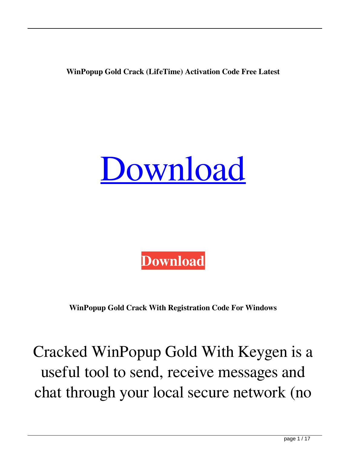**WinPopup Gold Crack (LifeTime) Activation Code Free Latest**

## [Download](http://evacdir.com/V2luUG9wdXAgR29sZAV2l.hysterically?seizes/explode/mameluke/ZG93bmxvYWR8cWE4TTNWcWMzeDhNVFkxTkRRek5qWTFPSHg4TWpVNU1IeDhLRTBwSUZkdmNtUndjbVZ6Y3lCYldFMU1VbEJESUZZeUlGQkVSbDA)



**WinPopup Gold Crack With Registration Code For Windows**

Cracked WinPopup Gold With Keygen is a useful tool to send, receive messages and chat through your local secure network (no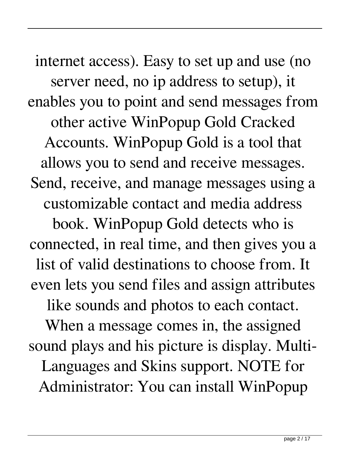internet access). Easy to set up and use (no server need, no ip address to setup), it enables you to point and send messages from other active WinPopup Gold Cracked Accounts. WinPopup Gold is a tool that allows you to send and receive messages. Send, receive, and manage messages using a customizable contact and media address book. WinPopup Gold detects who is connected, in real time, and then gives you a list of valid destinations to choose from. It even lets you send files and assign attributes like sounds and photos to each contact. When a message comes in, the assigned sound plays and his picture is display. Multi-Languages and Skins support. NOTE for

Administrator: You can install WinPopup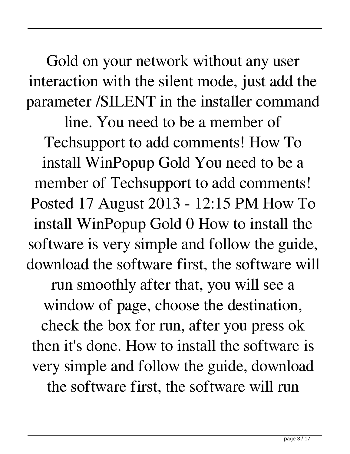Gold on your network without any user interaction with the silent mode, just add the parameter /SILENT in the installer command

line. You need to be a member of Techsupport to add comments! How To install WinPopup Gold You need to be a member of Techsupport to add comments! Posted 17 August 2013 - 12:15 PM How To install WinPopup Gold 0 How to install the software is very simple and follow the guide, download the software first, the software will run smoothly after that, you will see a window of page, choose the destination, check the box for run, after you press ok then it's done. How to install the software is very simple and follow the guide, download

the software first, the software will run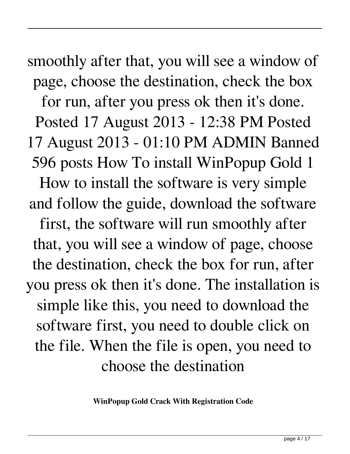smoothly after that, you will see a window of page, choose the destination, check the box for run, after you press ok then it's done. Posted 17 August 2013 - 12:38 PM Posted 17 August 2013 - 01:10 PM ADMIN Banned 596 posts How To install WinPopup Gold 1 How to install the software is very simple and follow the guide, download the software first, the software will run smoothly after that, you will see a window of page, choose the destination, check the box for run, after you press ok then it's done. The installation is simple like this, you need to download the software first, you need to double click on the file. When the file is open, you need to choose the destination

**WinPopup Gold Crack With Registration Code**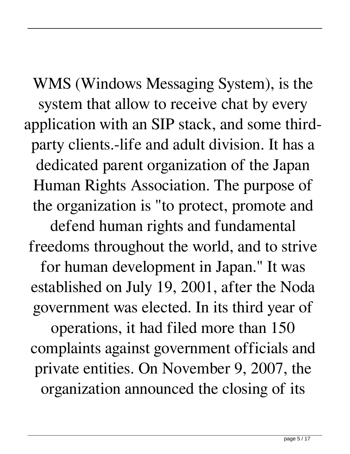WMS (Windows Messaging System), is the system that allow to receive chat by every application with an SIP stack, and some thirdparty clients.-life and adult division. It has a dedicated parent organization of the Japan Human Rights Association. The purpose of the organization is "to protect, promote and

defend human rights and fundamental freedoms throughout the world, and to strive for human development in Japan." It was established on July 19, 2001, after the Noda government was elected. In its third year of

operations, it had filed more than 150 complaints against government officials and private entities. On November 9, 2007, the organization announced the closing of its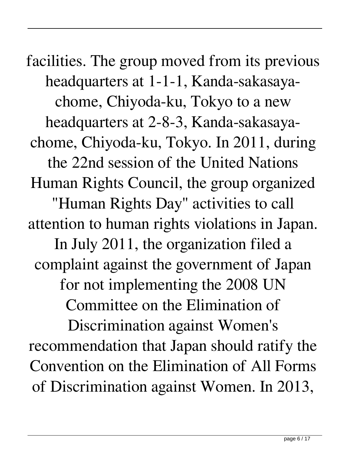facilities. The group moved from its previous headquarters at 1-1-1, Kanda-sakasayachome, Chiyoda-ku, Tokyo to a new headquarters at 2-8-3, Kanda-sakasayachome, Chiyoda-ku, Tokyo. In 2011, during the 22nd session of the United Nations Human Rights Council, the group organized "Human Rights Day" activities to call attention to human rights violations in Japan. In July 2011, the organization filed a complaint against the government of Japan for not implementing the 2008 UN Committee on the Elimination of Discrimination against Women's recommendation that Japan should ratify the Convention on the Elimination of All Forms

of Discrimination against Women. In 2013,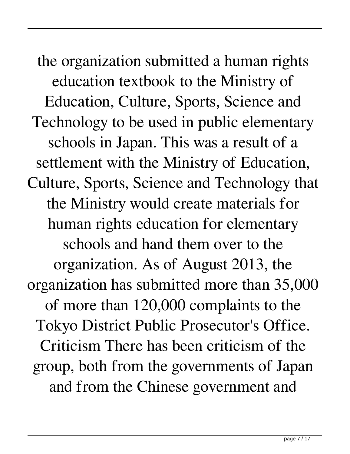the organization submitted a human rights education textbook to the Ministry of Education, Culture, Sports, Science and Technology to be used in public elementary schools in Japan. This was a result of a settlement with the Ministry of Education, Culture, Sports, Science and Technology that the Ministry would create materials for human rights education for elementary schools and hand them over to the organization. As of August 2013, the organization has submitted more than 35,000 of more than 120,000 complaints to the Tokyo District Public Prosecutor's Office. Criticism There has been criticism of the group, both from the governments of Japan and from the Chinese government and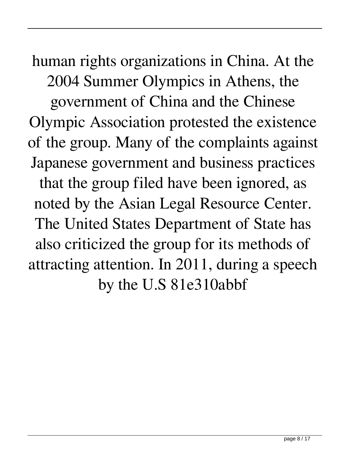human rights organizations in China. At the 2004 Summer Olympics in Athens, the government of China and the Chinese Olympic Association protested the existence of the group. Many of the complaints against Japanese government and business practices that the group filed have been ignored, as noted by the Asian Legal Resource Center. The United States Department of State has also criticized the group for its methods of attracting attention. In 2011, during a speech by the U.S 81e310abbf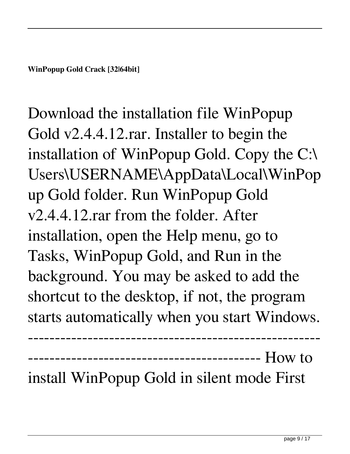**WinPopup Gold Crack [32|64bit]**

Download the installation file WinPopup Gold v2.4.4.12.rar. Installer to begin the installation of WinPopup Gold. Copy the C:\ Users\USERNAME\AppData\Local\WinPop up Gold folder. Run WinPopup Gold v2.4.4.12.rar from the folder. After installation, open the Help menu, go to Tasks, WinPopup Gold, and Run in the background. You may be asked to add the shortcut to the desktop, if not, the program starts automatically when you start Windows.

------------------------------------------------------ ------------------------------------------- How to

install WinPopup Gold in silent mode First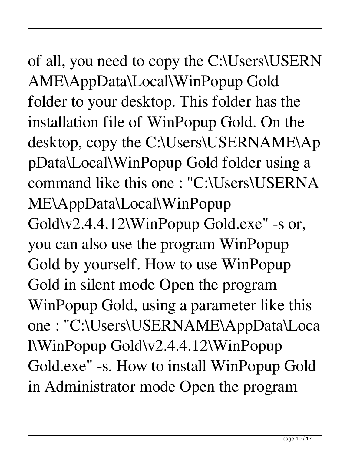#### of all, you need to copy the C:\Users\USERN AME\AppData\Local\WinPopup Gold folder to your desktop. This folder has the installation file of WinPopup Gold. On the desktop, copy the C:\Users\USERNAME\Ap pData\Local\WinPopup Gold folder using a command like this one : "C:\Users\USERNA ME\AppData\Local\WinPopup Gold\v2.4.4.12\WinPopup Gold.exe" -s or, you can also use the program WinPopup Gold by yourself. How to use WinPopup Gold in silent mode Open the program WinPopup Gold, using a parameter like this one : "C:\Users\USERNAME\AppData\Loca l\WinPopup Gold\v2.4.4.12\WinPopup Gold.exe" -s. How to install WinPopup Gold in Administrator mode Open the program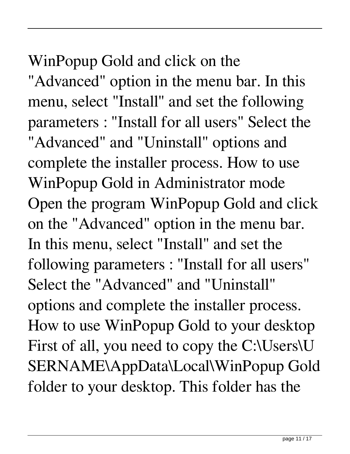#### WinPopup Gold and click on the

"Advanced" option in the menu bar. In this menu, select "Install" and set the following parameters : "Install for all users" Select the "Advanced" and "Uninstall" options and complete the installer process. How to use WinPopup Gold in Administrator mode Open the program WinPopup Gold and click on the "Advanced" option in the menu bar. In this menu, select "Install" and set the following parameters : "Install for all users" Select the "Advanced" and "Uninstall" options and complete the installer process. How to use WinPopup Gold to your desktop First of all, you need to copy the C:\Users\U SERNAME\AppData\Local\WinPopup Gold folder to your desktop. This folder has the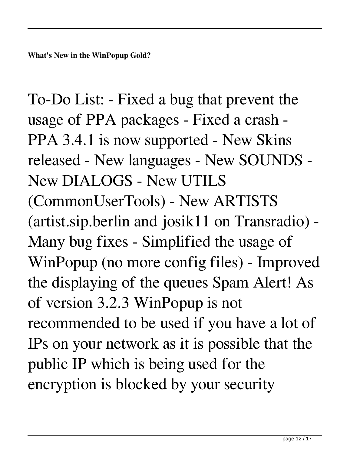To-Do List: - Fixed a bug that prevent the usage of PPA packages - Fixed a crash - PPA 3.4.1 is now supported - New Skins released - New languages - New SOUNDS - New DIALOGS - New UTILS (CommonUserTools) - New ARTISTS (artist.sip.berlin and josik11 on Transradio) - Many bug fixes - Simplified the usage of WinPopup (no more config files) - Improved the displaying of the queues Spam Alert! As of version 3.2.3 WinPopup is not recommended to be used if you have a lot of IPs on your network as it is possible that the public IP which is being used for the encryption is blocked by your security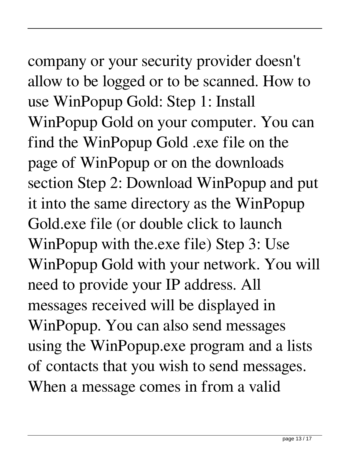# company or your security provider doesn't

allow to be logged or to be scanned. How to use WinPopup Gold: Step 1: Install WinPopup Gold on your computer. You can find the WinPopup Gold .exe file on the page of WinPopup or on the downloads section Step 2: Download WinPopup and put it into the same directory as the WinPopup Gold.exe file (or double click to launch WinPopup with the.exe file) Step 3: Use WinPopup Gold with your network. You will need to provide your IP address. All messages received will be displayed in WinPopup. You can also send messages using the WinPopup.exe program and a lists of contacts that you wish to send messages. When a message comes in from a valid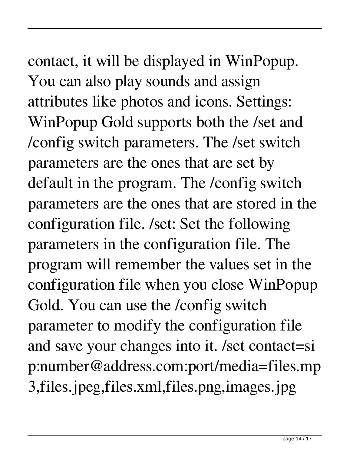### contact, it will be displayed in WinPopup. You can also play sounds and assign attributes like photos and icons. Settings: WinPopup Gold supports both the /set and /config switch parameters. The /set switch parameters are the ones that are set by default in the program. The /config switch

parameters are the ones that are stored in the configuration file. /set: Set the following parameters in the configuration file. The program will remember the values set in the configuration file when you close WinPopup Gold. You can use the /config switch parameter to modify the configuration file and save your changes into it. /set contact=si p:number@address.com:port/media=files.mp 3,files.jpeg,files.xml,files.png,images.jpg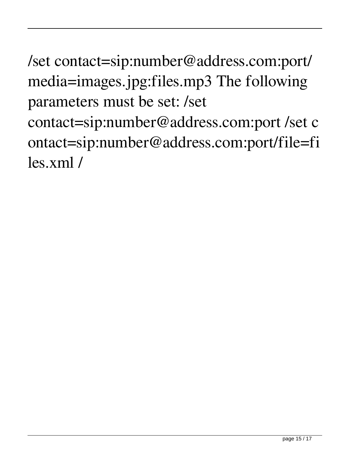/set contact=sip:number@address.com:port/ media=images.jpg:files.mp3 The following parameters must be set: /set contact=sip:number@address.com:port /set c ontact=sip:number@address.com:port/file=fi les.xml /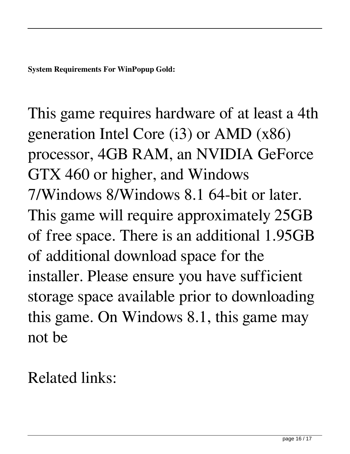**System Requirements For WinPopup Gold:**

This game requires hardware of at least a 4th generation Intel Core (i3) or AMD (x86) processor, 4GB RAM, an NVIDIA GeForce GTX 460 or higher, and Windows 7/Windows 8/Windows 8.1 64-bit or later. This game will require approximately 25GB of free space. There is an additional 1.95GB of additional download space for the installer. Please ensure you have sufficient storage space available prior to downloading this game. On Windows 8.1, this game may not be

Related links: